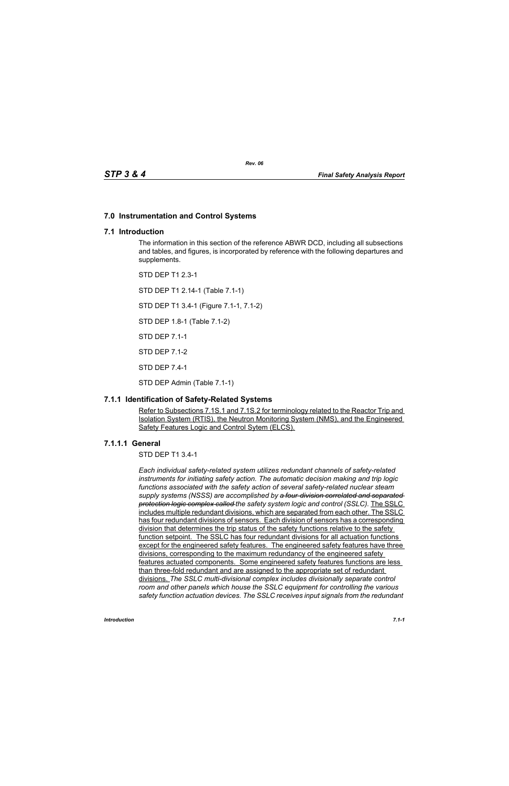## **7.0 Instrumentation and Control Systems**

## **7.1 Introduction**

The information in this section of the reference ABWR DCD, including all subsections and tables, and figures, is incorporated by reference with the following departures and supplements.

STD DEP T1 2.3-1

STD DEP T1 2.14-1 (Table 7.1-1)

STD DEP T1 3.4-1 (Figure 7.1-1, 7.1-2)

STD DEP 1.8-1 (Table 7.1-2)

STD DEP 7.1-1

STD DEP 7.1-2

STD DEP 7.4-1

STD DEP Admin (Table 7.1-1)

## **7.1.1 Identification of Safety-Related Systems**

Refer to Subsections 7.1S.1 and 7.1S.2 for terminology related to the Reactor Trip and Isolation System (RTIS), the Neutron Monitoring System (NMS), and the Engineered Safety Features Logic and Control Sytem (ELCS).

## **7.1.1.1 General**

STD DEP T1 3.4-1

*Each individual safety-related system utilizes redundant channels of safety-related instruments for initiating safety action. The automatic decision making and trip logic functions associated with the safety action of several safety-related nuclear steam supply systems (NSSS) are accomplished by a four-division correlated and separated protection logic complex called the safety system logic and control (SSLC).* The SSLC includes multiple redundant divisions, which are separated from each other. The SSLC has four redundant divisions of sensors. Each division of sensors has a corresponding division that determines the trip status of the safety functions relative to the safety function setpoint. The SSLC has four redundant divisions for all actuation functions except for the engineered safety features. The engineered safety features have three divisions, corresponding to the maximum redundancy of the engineered safety features actuated components. Some engineered safety features functions are less than three-fold redundant and are assigned to the appropriate set of redundant divisions. *The SSLC multi-divisional complex includes divisionally separate control room and other panels which house the SSLC equipment for controlling the various safety function actuation devices. The SSLC receives input signals from the redundant*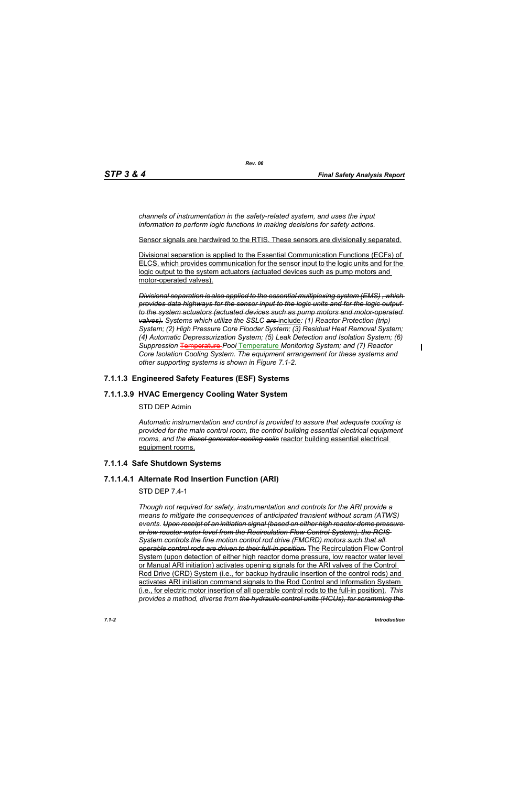*channels of instrumentation in the safety-related system, and uses the input information to perform logic functions in making decisions for safety actions.*

Sensor signals are hardwired to the RTIS. These sensors are divisionally separated.

Divisional separation is applied to the Essential Communication Functions (ECFs) of ELCS, which provides communication for the sensor input to the logic units and for the logic output to the system actuators (actuated devices such as pump motors and motor-operated valves).

*Divisional separation is also applied to the essential multiplexing system (EMS) , which provides data highways for the sensor input to the logic units and for the logic output to the system actuators (actuated devices such as pump motors and motor-operated valves). Systems which utilize the SSLC are* include*: (1) Reactor Protection (trip) System; (2) High Pressure Core Flooder System; (3) Residual Heat Removal System; (4) Automatic Depressurization System; (5) Leak Detection and Isolation System; (6) Suppression* Temperature *Pool* Temperature *Monitoring System; and (7) Reactor Core Isolation Cooling System. The equipment arrangement for these systems and other supporting systems is shown in Figure 7.1-2.*

## **7.1.1.3 Engineered Safety Features (ESF) Systems**

## **7.1.1.3.9 HVAC Emergency Cooling Water System**

#### STD DEP Admin

*Automatic instrumentation and control is provided to assure that adequate cooling is provided for the main control room, the control building essential electrical equipment rooms, and the diesel generator cooling coils* reactor building essential electrical equipment rooms.

## **7.1.1.4 Safe Shutdown Systems**

## **7.1.1.4.1 Alternate Rod Insertion Function (ARI)**

## STD DEP 7.4-1

*Though not required for safety, instrumentation and controls for the ARI provide a means to mitigate the consequences of anticipated transient without scram (ATWS) events. Upon receipt of an initiation signal (based on either high reactor dome pressure or low reactor water level from the Recirculation Flow Control System), the RCIS System controls the fine motion control rod drive (FMCRD) motors such that all operable control rods are driven to their full-in position.* The Recirculation Flow Control System (upon detection of either high reactor dome pressure, low reactor water level or Manual ARI initiation) activates opening signals for the ARI valves of the Control Rod Drive (CRD) System (i.e., for backup hydraulic insertion of the control rods) and activates ARI initiation command signals to the Rod Control and Information System (i.e., for electric motor insertion of all operable control rods to the full-in position). *This provides a method, diverse from the hydraulic control units (HCUs), for scramming the*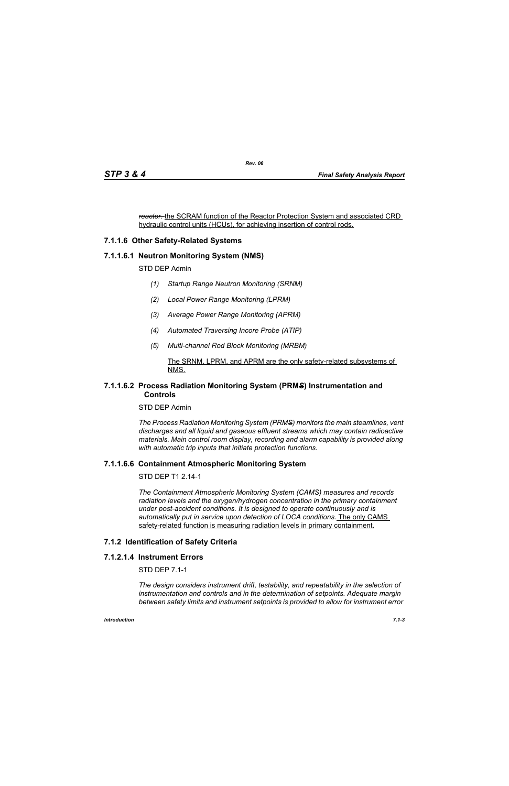*reactor.* the SCRAM function of the Reactor Protection System and associated CRD hydraulic control units (HCUs), for achieving insertion of control rods.

## **7.1.1.6 Other Safety-Related Systems**

#### **7.1.1.6.1 Neutron Monitoring System (NMS)**

STD DEP Admin

- *(1) Startup Range Neutron Monitoring (SRNM)*
- *(2) Local Power Range Monitoring (LPRM)*
- *(3) Average Power Range Monitoring (APRM)*
- *(4) Automated Traversing Incore Probe (ATIP)*
- *(5) Multi-channel Rod Block Monitoring (MRBM)*

#### The SRNM, LPRM, and APRM are the only safety-related subsystems of NMS.

#### **7.1.1.6.2 Process Radiation Monitoring System (PRM***S***) Instrumentation and Controls**

STD DEP Admin

*The Process Radiation Monitoring System (PRMS) monitors the main steamlines, vent discharges and all liquid and gaseous effluent streams which may contain radioactive materials. Main control room display, recording and alarm capability is provided along with automatic trip inputs that initiate protection functions.*

#### **7.1.1.6.6 Containment Atmospheric Monitoring System**

STD DEP T1 2.14-1

*The Containment Atmospheric Monitoring System (CAMS) measures and records radiation levels and the oxygen/hydrogen concentration in the primary containment under post-accident conditions. It is designed to operate continuously and is automatically put in service upon detection of LOCA conditions.* The only CAMS safety-related function is measuring radiation levels in primary containment.

#### **7.1.2 Identification of Safety Criteria**

#### **7.1.2.1.4 Instrument Errors**

STD DEP 7.1-1

*The design considers instrument drift, testability, and repeatability in the selection of instrumentation and controls and in the determination of setpoints. Adequate margin between safety limits and instrument setpoints is provided to allow for instrument error*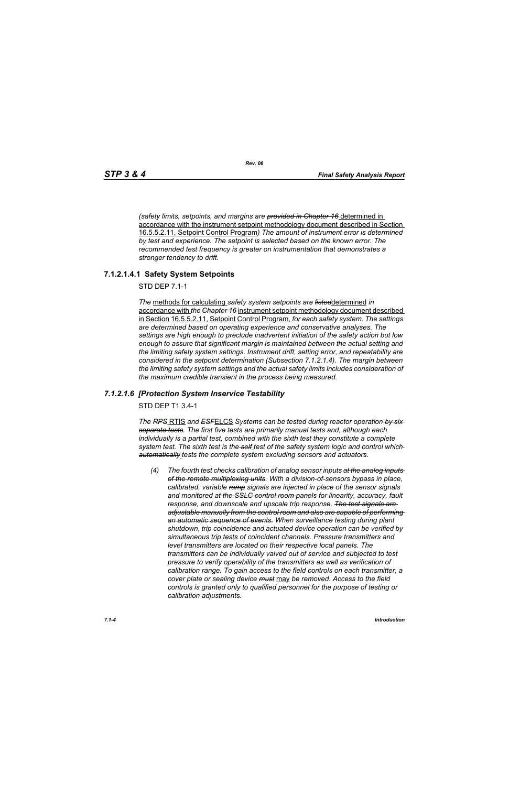*(safety limits, setpoints, and margins are provided in Chapter 16* determined in accordance with the instrument setpoint methodology document described in Section 16.5.5.2.11, Setpoint Control Program*) The amount of instrument error is determined by test and experience. The setpoint is selected based on the known error. The recommended test frequency is greater on instrumentation that demonstrates a stronger tendency to drift.*

## **7.1.2.1.4.1 Safety System Setpoints**

STD DEP 7.1-1

*The* methods for calculating *safety system setpoints are listed*determined *in*  accordance with *the Chapter 16* instrument setpoint methodology document described in Section 16.5.5.2.11, Setpoint Control Program, *for each safety system. The settings are determined based on operating experience and conservative analyses. The settings are high enough to preclude inadvertent initiation of the safety action but low enough to assure that significant margin is maintained between the actual setting and the limiting safety system settings. Instrument drift, setting error, and repeatability are considered in the setpoint determination (Subsection 7.1.2.1.4). The margin between the limiting safety system settings and the actual safety limits includes consideration of the maximum credible transient in the process being measured.*

#### *7.1.2.1.6 [Protection System Inservice Testability*

STD DEP T1 3.4-1

*The RPS* RTIS *and ESF*ELCS *Systems can be tested during reactor operation by six separate tests. The first five tests are primarily manual tests and, although each individually is a partial test, combined with the sixth test they constitute a complete system test. The sixth test is the self test of the safety system logic and control which automatically tests the complete system excluding sensors and actuators.*

*(4) The fourth test checks calibration of analog sensor inputs at the analog inputs of the remote multiplexing units. With a division-of-sensors bypass in place, calibrated, variable ramp signals are injected in place of the sensor signals and monitored at the SSLC control room panels for linearity, accuracy, fault response, and downscale and upscale trip response. The test signals are adjustable manually from the control room and also are capable of performing an automatic sequence of events. When surveillance testing during plant shutdown, trip coincidence and actuated device operation can be verified by simultaneous trip tests of coincident channels. Pressure transmitters and level transmitters are located on their respective local panels. The transmitters can be individually valved out of service and subjected to test pressure to verify operability of the transmitters as well as verification of calibration range. To gain access to the field controls on each transmitter, a cover plate or sealing device must* may *be removed. Access to the field controls is granted only to qualified personnel for the purpose of testing or calibration adjustments.*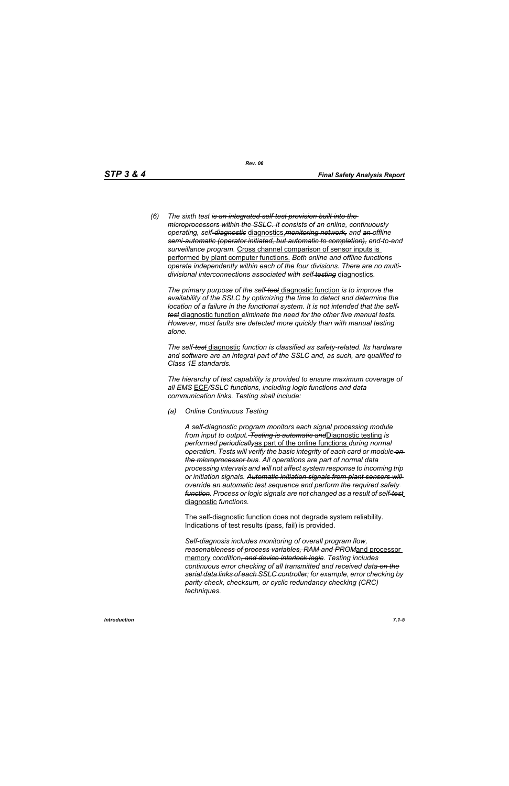*(6) The sixth test is an integrated self-test provision built into the microprocessors within the SSLC. It consists of an online, continuously operating, self-diagnostic* diagnostics,*monitoring network, and an offline semi-automatic (operator initiated, but automatic to completion), end-to-end surveillance program.* Cross channel comparison of sensor inputs is performed by plant computer functions. *Both online and offline functions operate independently within each of the four divisions. There are no multidivisional interconnections associated with self testing* diagnostics*.*

*The primary purpose of the self-test* diagnostic function *is to improve the availability of the SSLC by optimizing the time to detect and determine the location of a failure in the functional system. It is not intended that the selftest* diagnostic function *eliminate the need for the other five manual tests. However, most faults are detected more quickly than with manual testing alone.*

*The self-test* diagnostic *function is classified as safety-related. Its hardware and software are an integral part of the SSLC and, as such, are qualified to Class 1E standards.*

*The hierarchy of test capability is provided to ensure maximum coverage of all EMS* ECF*/SSLC functions, including logic functions and data communication links. Testing shall include:*

*(a) Online Continuous Testing*

*A self-diagnostic program monitors each signal processing module from input to output. Testing is automatic and*Diagnostic testing *is performed periodically*as part of the online functions *during normal operation. Tests will verify the basic integrity of each card or module on the microprocessor bus. All operations are part of normal data processing intervals and will not affect system response to incoming trip or initiation signals. Automatic initiation signals from plant sensors will override an automatic test sequence and perform the required safety function. Process or logic signals are not changed as a result of self-test* diagnostic *functions.*

The self-diagnostic function does not degrade system reliability. Indications of test results (pass, fail) is provided.

*Self-diagnosis includes monitoring of overall program flow, reasonableness of process variables, RAM and PROM*and processor memory *condition, and device interlock logic. Testing includes continuous error checking of all transmitted and received data on the serial data links of each SSLC controller; for example, error checking by parity check, checksum, or cyclic redundancy checking (CRC) techniques.*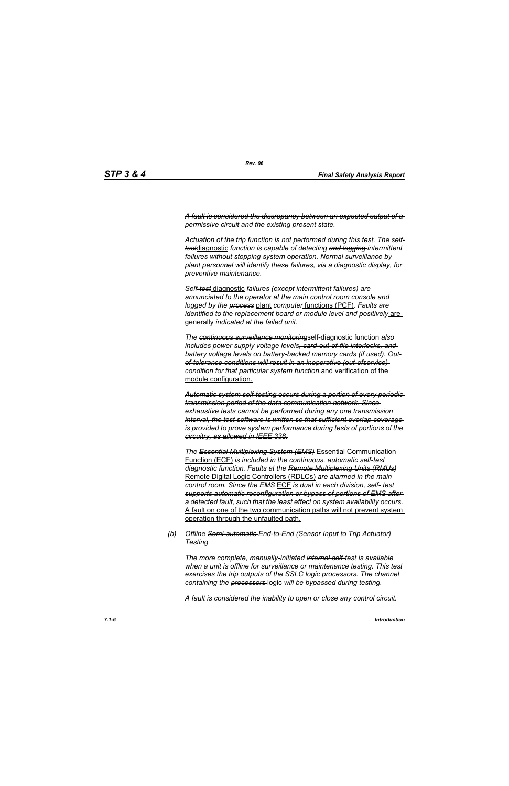*A fault is considered the discrepancy between an expected output of a permissive circuit and the existing present state.*

*Actuation of the trip function is not performed during this test. The selftest*diagnostic *function is capable of detecting and logging intermittent failures without stopping system operation. Normal surveillance by plant personnel will identify these failures, via a diagnostic display, for preventive maintenance.*

*Self-test* diagnostic *failures (except intermittent failures) are annunciated to the operator at the main control room console and logged by the process* plant *computer* functions (PCF)*. Faults are identified to the replacement board or module level and positively* are generally *indicated at the failed unit.*

*The continuous surveillance monitoring*self-diagnostic function *also includes power supply voltage levels, card-out-of-file interlocks, and battery voltage levels on battery-backed memory cards (if used). Outof-tolerance conditions will result in an inoperative (out-ofservice) condition for that particular system function.*and verification of the module configuration.

*Automatic system self-testing occurs during a portion of every periodic transmission period of the data communication network. Since exhaustive tests cannot be performed during any one transmission interval, the test software is written so that sufficient overlap coverage is provided to prove system performance during tests of portions of the circuitry, as allowed in IEEE 338.*

*The Essential Multiplexing System (EMS)* Essential Communication Function (ECF) *is included in the continuous, automatic self-test diagnostic function. Faults at the Remote Multiplexing Units (RMUs)* Remote Digital Logic Controllers (RDLCs) *are alarmed in the main control room. Since the EMS* ECF *is dual in each division, self- test supports automatic reconfiguration or bypass of portions of EMS after a detected fault, such that the least effect on system availability occurs.* A fault on one of the two communication paths will not prevent system operation through the unfaulted path.

*(b) Offline Semi-automatic End-to-End (Sensor Input to Trip Actuator) Testing*

*The more complete, manually-initiated internal self-test is available when a unit is offline for surveillance or maintenance testing. This test exercises the trip outputs of the SSLC logic processors. The channel containing the processors* logic *will be bypassed during testing.*

*A fault is considered the inability to open or close any control circuit.*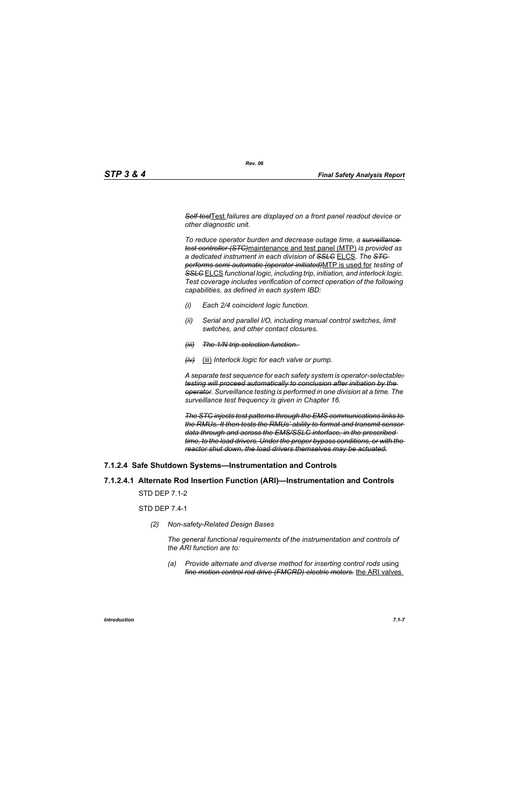*Self-test*Test *failures are displayed on a front panel readout device or other diagnostic unit.*

*To reduce operator burden and decrease outage time, a surveillance test controller (STC)*maintenance and test panel (MTP) *is provided as a dedicated instrument in each division of SSLC* ELCS. *The STC performs semi-automatic (operator-initiated)*MTP is used for *testing of SSLC* ELCS *functional logic, including trip, initiation, and interlock logic. Test coverage includes verification of correct operation of the following capabilities, as defined in each system IBD:*

- *(i) Each 2/4 coincident logic function.*
- *(ii) Serial and parallel I/O, including manual control switches, limit switches, and other contact closures.*
- *(iii) The 1/N trip selection function.*
- *(iv)* (iii) *Interlock logic for each valve or pump.*

*A separate test sequence for each safety system is operator-selectable; testing will proceed automatically to conclusion after initiation by the operator. Surveillance testing is performed in one division at a time. The surveillance test frequency is given in Chapter 16.*

*The STC injects test patterns through the EMS communications links to the RMUs. It then tests the RMUs' ability to format and transmit sensor data through and across the EMS/SSLC interface, in the prescribed time, to the load drivers. Under the proper bypass conditions, or with the reactor shut down, the load drivers themselves may be actuated.*

## **7.1.2.4 Safe Shutdown Systems—Instrumentation and Controls**

## **7.1.2.4.1 Alternate Rod Insertion Function (ARI)—Instrumentation and Controls**

STD DEP 7.1-2

STD DEP 7.4-1

*(2) Non-safety-Related Design Bases*

*The general functional requirements of the instrumentation and controls of the ARI function are to:*

*(a) Provide alternate and diverse method for inserting control rods* using *fine motion control rod drive (FMCRD) electric motors.* the ARI valves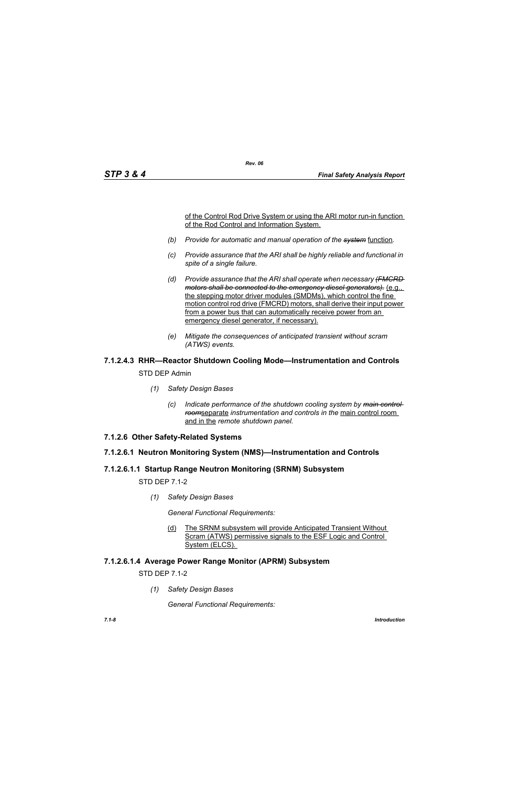of the Control Rod Drive System or using the ARI motor run-in function of the Rod Control and Information System.

*(b) Provide for automatic and manual operation of the system* function*.*

*Rev. 06*

- *(c) Provide assurance that the ARI shall be highly reliable and functional in spite of a single failure.*
- *(d) Provide assurance that the ARI shall operate when necessary (FMCRD motors shall be connected to the emergency diesel generators).* (e.g., the stepping motor driver modules (SMDMs), which control the fine motion control rod drive (FMCRD) motors, shall derive their input power from a power bus that can automatically receive power from an emergency diesel generator, if necessary).
- *(e) Mitigate the consequences of anticipated transient without scram (ATWS) events.*

# **7.1.2.4.3 RHR—Reactor Shutdown Cooling Mode—Instrumentation and Controls**

STD DEP Admin

- *(1) Safety Design Bases*
	- *(c) Indicate performance of the shutdown cooling system by main control room*separate *instrumentation and controls in the* main control room and in the *remote shutdown panel.*
- **7.1.2.6 Other Safety-Related Systems**

## **7.1.2.6.1 Neutron Monitoring System (NMS)—Instrumentation and Controls**

## **7.1.2.6.1.1 Startup Range Neutron Monitoring (SRNM) Subsystem**

STD DEP 7.1-2

*(1) Safety Design Bases*

*General Functional Requirements:*

(d) The SRNM subsystem will provide Anticipated Transient Without Scram (ATWS) permissive signals to the ESF Logic and Control System (ELCS).

## **7.1.2.6.1.4 Average Power Range Monitor (APRM) Subsystem**

STD DEP 7.1-2

*(1) Safety Design Bases*

*General Functional Requirements:*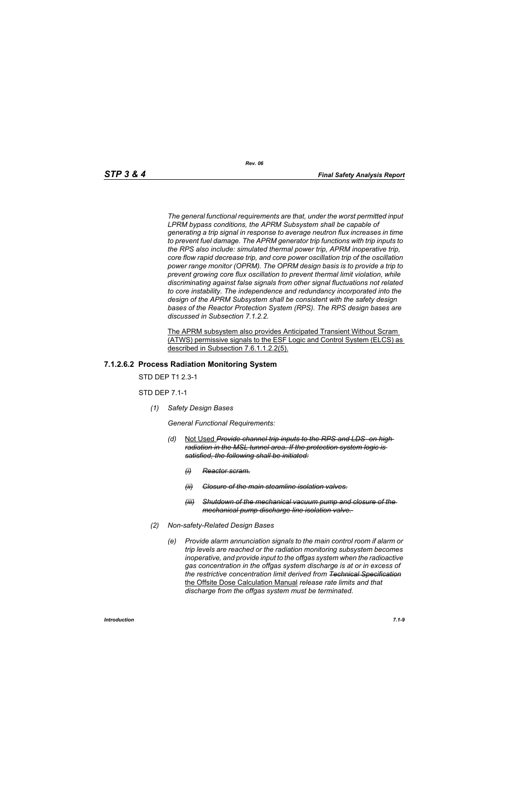*The general functional requirements are that, under the worst permitted input LPRM bypass conditions, the APRM Subsystem shall be capable of generating a trip signal in response to average neutron flux increases in time to prevent fuel damage. The APRM generator trip functions with trip inputs to the RPS also include: simulated thermal power trip, APRM inoperative trip, core flow rapid decrease trip, and core power oscillation trip of the oscillation power range monitor (OPRM). The OPRM design basis is to provide a trip to prevent growing core flux oscillation to prevent thermal limit violation, while discriminating against false signals from other signal fluctuations not related to core instability. The independence and redundancy incorporated into the design of the APRM Subsystem shall be consistent with the safety design bases of the Reactor Protection System (RPS). The RPS design bases are discussed in Subsection 7.1.2.2.*

The APRM subsystem also provides Anticipated Transient Without Scram (ATWS) permissive signals to the ESF Logic and Control System (ELCS) as described in Subsection 7.6.1.1.2.2(5).

#### **7.1.2.6.2 Process Radiation Monitoring System**

STD DEP T1 2.3-1

STD DEP 7.1-1

*(1) Safety Design Bases*

*General Functional Requirements:*

- *(d)* Not Used *Provide channel trip inputs to the RPS and LDS on high radiation in the MSL tunnel area. If the protection system logic is satisfied, the following shall be initiated:*
	- *(i) Reactor scram.*
	- *(ii) Closure of the main steamline isolation valves.*
	- *(iii) Shutdown of the mechanical vacuum pump and closure of the mechanical pump discharge line isolation valve.*
- *(2) Non-safety-Related Design Bases*
	- *(e) Provide alarm annunciation signals to the main control room if alarm or trip levels are reached or the radiation monitoring subsystem becomes inoperative, and provide input to the offgas system when the radioactive gas concentration in the offgas system discharge is at or in excess of the restrictive concentration limit derived from Technical Specification* the Offsite Dose Calculation Manual *release rate limits and that discharge from the offgas system must be terminated.*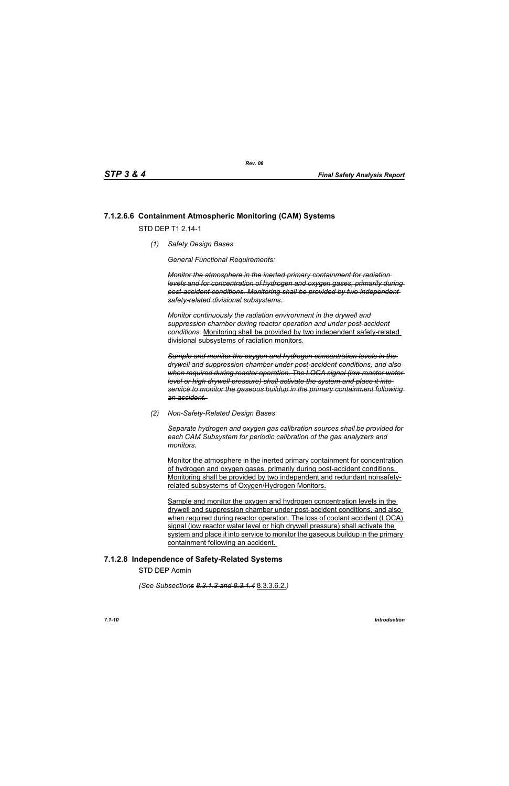## **7.1.2.6.6 Containment Atmospheric Monitoring (CAM) Systems**

STD DFP T1 2 14-1

*(1) Safety Design Bases*

*General Functional Requirements:*

*Monitor the atmosphere in the inerted primary containment for radiation levels and for concentration of hydrogen and oxygen gases, primarily during post-accident conditions. Monitoring shall be provided by two independent safety-related divisional subsystems.* 

*Monitor continuously the radiation environment in the drywell and suppression chamber during reactor operation and under post-accident conditions.* Monitoring shall be provided by two independent safety-related divisional subsystems of radiation monitors.

*Sample and monitor the oxygen and hydrogen concentration levels in the drywell and suppression chamber under post-accident conditions, and also when required during reactor operation. The LOCA signal (low reactor water level or high drywell pressure) shall activate the system and place it into service to monitor the gaseous buildup in the primary containment following an accident.* 

*(2) Non-Safety-Related Design Bases*

*Separate hydrogen and oxygen gas calibration sources shall be provided for each CAM Subsystem for periodic calibration of the gas analyzers and monitors.* 

Monitor the atmosphere in the inerted primary containment for concentration of hydrogen and oxygen gases, primarily during post-accident conditions. Monitoring shall be provided by two independent and redundant nonsafetyrelated subsystems of Oxygen/Hydrogen Monitors.

Sample and monitor the oxygen and hydrogen concentration levels in the drywell and suppression chamber under post-accident conditions, and also when required during reactor operation. The loss of coolant accident (LOCA) signal (low reactor water level or high drywell pressure) shall activate the system and place it into service to monitor the gaseous buildup in the primary containment following an accident.

## **7.1.2.8 Independence of Safety-Related Systems**

STD DEP Admin

*(See Subsections 8.3.1.3 and 8.3.1.4* 8.3.3.6.2.*)*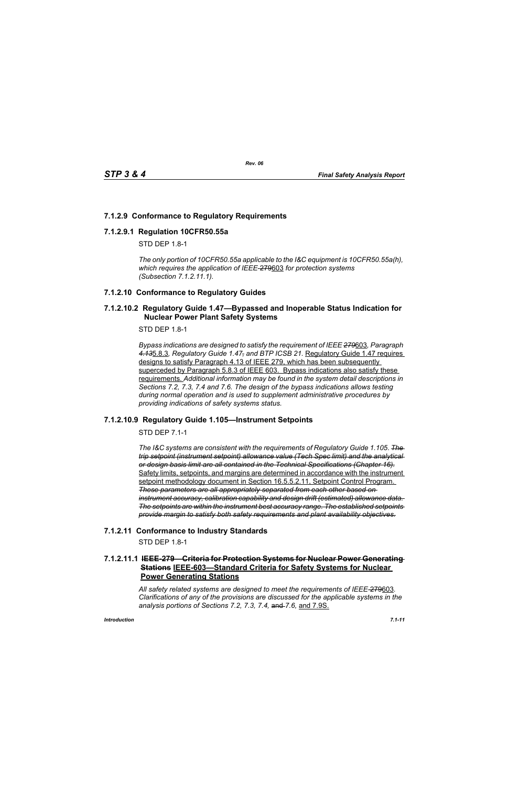## **7.1.2.9 Conformance to Regulatory Requirements**

#### **7.1.2.9.1 Regulation 10CFR50.55a**

STD DFP 18-1

*The only portion of 10CFR50.55a applicable to the I&C equipment is 10CFR50.55a(h), which requires the application of IEEE-*279603 *for protection systems (Subsection 7.1.2.11.1).*

## **7.1.2.10 Conformance to Regulatory Guides**

#### **7.1.2.10.2 Regulatory Guide 1.47—Bypassed and Inoperable Status Indication for Nuclear Power Plant Safety Systems**

STD DEP 1.8-1

*Bypass indications are designed to satisfy the requirement of IEEE 279*603*, Paragraph 4.13*5.8.3*, Regulatory Guide 1.47, and BTP ICSB 21.* Regulatory Guide 1.47 requires designs to satisfy Paragraph 4.13 of IEEE 279, which has been subsequently superceded by Paragraph 5.8.3 of IEEE 603. Bypass indications also satisfy these requirements. *Additional information may be found in the system detail descriptions in Sections 7.2, 7.3, 7.4 and 7.6. The design of the bypass indications allows testing during normal operation and is used to supplement administrative procedures by providing indications of safety systems status.*

## **7.1.2.10.9 Regulatory Guide 1.105—Instrument Setpoints**

STD DEP 7.1-1

*The I&C systems are consistent with the requirements of Regulatory Guide 1.105*. *The trip setpoint (instrument setpoint) allowance value (Tech Spec limit) and the analytical or design basis limit are all contained in the Technical Specifications (Chapter 16).* Safety limits, setpoints, and margins are determined in accordance with the instrument setpoint methodology document in Section 16.5.5.2.11, Setpoint Control Program. *These parameters are all appropriately separated from each other based on instrument accuracy, calibration capability and design drift (estimated) allowance data. The setpoints are within the instrument best accuracy range. The established setpoints provide margin to satisfy both safety requirements and plant availability objectives.*

## **7.1.2.11 Conformance to Industry Standards**

STD DEP 1.8-1

## **7.1.2.11.1 IEEE-279—Criteria for Protection Systems for Nuclear Power Generating Stations IEEE-603—Standard Criteria for Safety Systems for Nuclear Power Generating Stations**

*All safety related systems are designed to meet the requirements of IEEE-*279603*. Clarifications of any of the provisions are discussed for the applicable systems in the analysis portions of Sections 7.2, 7.3, 7.4,* and *7.6,* and 7.9S.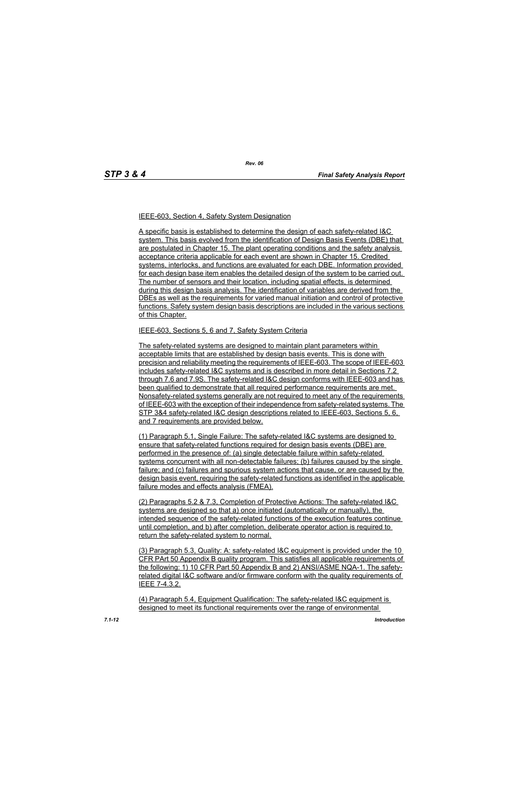#### IEEE-603, Section 4, Safety System Designation

A specific basis is established to determine the design of each safety-related I&C system. This basis evolved from the identification of Design Basis Events (DBE) that are postulated in Chapter 15. The plant operating conditions and the safety analysis acceptance criteria applicable for each event are shown in Chapter 15. Credited systems, interlocks, and functions are evaluated for each DBE. Information provided for each design base item enables the detailed design of the system to be carried out. The number of sensors and their location, including spatial effects, is determined during this design basis analysis. The identification of variables are derived from the DBEs as well as the requirements for varied manual initiation and control of protective functions. Safety system design basis descriptions are included in the various sections of this Chapter.

#### IEEE-603, Sections 5, 6 and 7, Safety System Criteria

The safety-related systems are designed to maintain plant parameters within acceptable limits that are established by design basis events. This is done with precision and reliability meeting the requirements of IEEE-603. The scope of IEEE-603 includes safety-related I&C systems and is described in more detail in Sections 7.2 through 7.6 and 7.9S. The safety-related I&C design conforms with IEEE-603 and has been qualified to demonstrate that all required performance requirements are met. Nonsafety-related systems generally are not required to meet any of the requirements of IEEE-603 with the exception of their independence from safety-related systems. The STP 3&4 safety-related I&C design descriptions related to IEEE-603, Sections 5, 6, and 7 requirements are provided below.

(1) Paragraph 5.1, Single Failure: The safety-related I&C systems are designed to ensure that safety-related functions required for design basis events (DBE) are performed in the presence of: (a) single detectable failure within safety-related systems concurrent with all non-detectable failures; (b) failures caused by the single failure; and (c) failures and spurious system actions that cause, or are caused by the design basis event, requiring the safety-related functions as identified in the applicable failure modes and effects analysis (FMEA).

(2) Paragraphs 5.2 & 7.3, Completion of Protective Actions: The safety-related I&C systems are designed so that a) once initiated (automatically or manually), the intended sequence of the safety-related functions of the execution features continue until completion, and b) after completion, deliberate operator action is required to return the safety-related system to normal.

(3) Paragraph 5.3, Quality: A: safety-related I&C equipment is provided under the 10 CFR PArt 50 Appendix B quality program. This satisfies all applicable requirements of the following: 1) 10 CFR Part 50 Appendix B and 2) ANSI/ASME NQA-1. The safetyrelated digital I&C software and/or firmware conform with the quality requirements of IEEE 7-4.3.2.

(4) Paragraph 5.4, Equipment Qualification: The safety-related I&C equipment is designed to meet its functional requirements over the range of environmental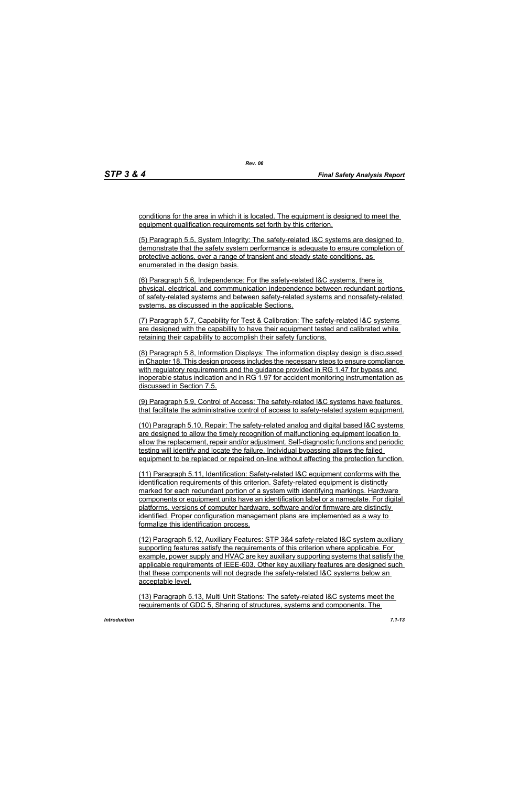conditions for the area in which it is located. The equipment is designed to meet the equipment qualification requirements set forth by this criterion.

(5) Paragraph 5.5, System Integrity: The safety-related I&C systems are designed to demonstrate that the safety system performance is adequate to ensure completion of protective actions, over a range of transient and steady state conditions, as enumerated in the design basis.

(6) Paragraph 5.6, Independence: For the safety-related I&C systems, there is physical, electrical, and commmunication independence between redundant portions of safety-related systems and between safety-related systems and nonsafety-related systems, as discussed in the applicable Sections.

(7) Paragraph 5.7, Capability for Test & Calibration: The safety-related I&C systems are designed with the capability to have their equipment tested and calibrated while retaining their capability to accomplish their safety functions.

(8) Paragraph 5.8, Information Displays: The information display design is discussed in Chapter 18. This design process includes the necessary steps to ensure compliance with regulatory requirements and the guidance provided in RG 1.47 for bypass and inoperable status indication and in RG 1.97 for accident monitoring instrumentation as discussed in Section 7.5.

(9) Paragraph 5.9, Control of Access: The safety-related I&C systems have features that facilitate the administrative control of access to safety-related system equipment.

(10) Paragraph 5.10, Repair: The safety-related analog and digital based I&C systems are designed to allow the timely recognition of malfunctioning equipment location to allow the replacement, repair and/or adjustment. Self-diagnostic functions and periodic testing will identify and locate the failure. Individual bypassing allows the failed equipment to be replaced or repaired on-line without affecting the protection function.

(11) Paragraph 5.11, Identification: Safety-related I&C equipment conforms with the identification requirements of this criterion. Safety-related equipment is distinctly marked for each redundant portion of a system with identifying markings. Hardware components or equipment units have an identification label or a nameplate. For digital platforms, versions of computer hardware, software and/or firmware are distinctly identified. Proper configuration management plans are implemented as a way to formalize this identification process.

(12) Paragraph 5.12, Auxiliary Features: STP 3&4 safety-related I&C system auxiliary supporting features satisfy the requirements of this criterion where applicable. For example, power supply and HVAC are key auxiliary supporting systems that satisfy the applicable requirements of IEEE-603. Other key auxiliary features are designed such that these components will not degrade the safety-related I&C systems below an acceptable level.

(13) Paragraph 5.13, Multi Unit Stations: The safety-related I&C systems meet the requirements of GDC 5, Sharing of structures, systems and components. The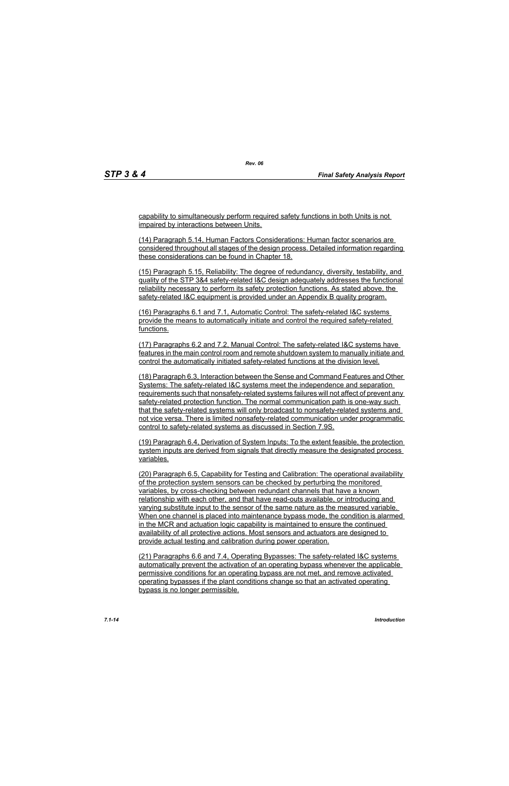capability to simultaneously perform required safety functions in both Units is not impaired by interactions between Units.

(14) Paragraph 5.14, Human Factors Considerations: Human factor scenarios are considered throughout all stages of the design process. Detailed information regarding these considerations can be found in Chapter 18.

(15) Paragraph 5.15, Reliability: The degree of redundancy, diversity, testability, and quality of the STP 3&4 safety-related I&C design adequately addresses the functional reliability necessary to perform its safety protection functions. As stated above, the safety-related I&C equipment is provided under an Appendix B quality program.

(16) Paragraphs 6.1 and 7.1, Automatic Control: The safety-related I&C systems provide the means to automatically initiate and control the required safety-related functions.

(17) Paragraphs 6.2 and 7.2, Manual Control: The safety-related I&C systems have features in the main control room and remote shutdown system to manually initiate and control the automatically initiated safety-related functions at the division level.

(18) Paragraph 6.3, Interaction between the Sense and Command Features and Other Systems: The safety-related I&C systems meet the independence and separation requirements such that nonsafety-related systems failures will not affect of prevent any safety-related protection function. The normal communication path is one-way such that the safety-related systems will only broadcast to nonsafety-related systems and not vice versa. There is limited nonsafety-related communication under programmatic control to safety-related systems as discussed in Section 7.9S.

(19) Paragraph 6.4, Derivation of System Inputs: To the extent feasible, the protection system inputs are derived from signals that directly measure the designated process variables.

(20) Paragraph 6.5, Capability for Testing and Calibration: The operational availability of the protection system sensors can be checked by perturbing the monitored variables, by cross-checking between redundant channels that have a known relationship with each other, and that have read-outs available, or introducing and varying substitute input to the sensor of the same nature as the measured variable. When one channel is placed into maintenance bypass mode, the condition is alarmed in the MCR and actuation logic capability is maintained to ensure the continued availability of all protective actions. Most sensors and actuators are designed to provide actual testing and calibration during power operation.

(21) Paragraphs 6.6 and 7.4, Operating Bypasses: The safety-related I&C systems automatically prevent the activation of an operating bypass whenever the applicable permissive conditions for an operating bypass are not met, and remove activated operating bypasses if the plant conditions change so that an activated operating bypass is no longer permissible.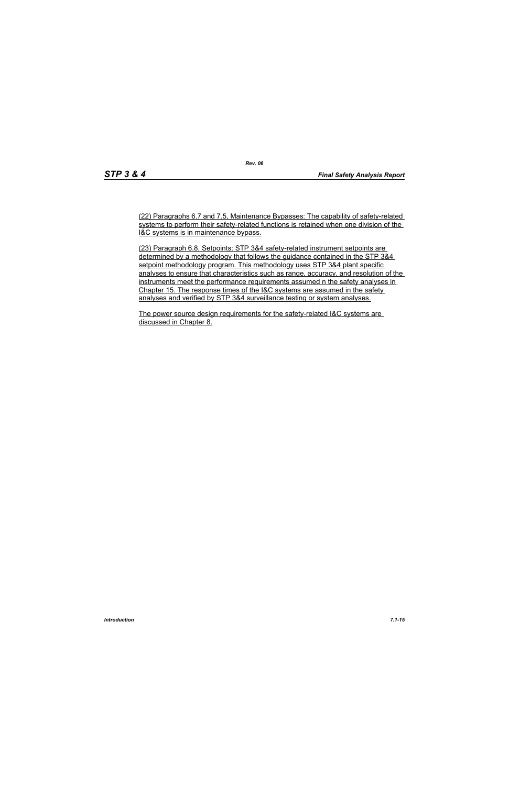(22) Paragraphs 6.7 and 7.5, Maintenance Bypasses: The capability of safety-related systems to perform their safety-related functions is retained when one division of the I&C systems is in maintenance bypass.

(23) Paragraph 6.8, Setpoints: STP 3&4 safety-related instrument setpoints are determined by a methodology that follows the guidance contained in the STP 3&4 setpoint methodology program. This methodology uses STP 3&4 plant specific analyses to ensure that characteristics such as range, accuracy, and resolution of the instruments meet the performance requirements assumed n the safety analyses in Chapter 15. The response times of the I&C systems are assumed in the safety analyses and verified by STP 3&4 surveillance testing or system analyses.

The power source design requirements for the safety-related I&C systems are discussed in Chapter 8.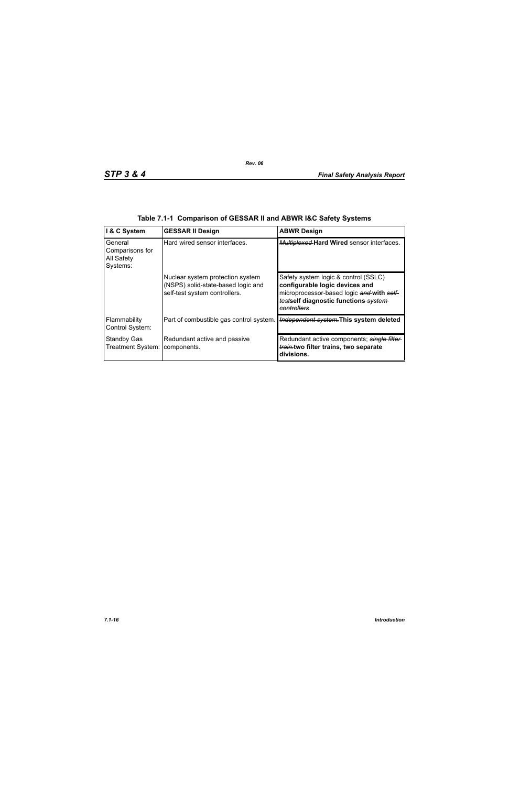| I & C System                                         | <b>GESSAR II Design</b>                                                                                 | <b>ABWR Design</b>                                                                                                                                                          |
|------------------------------------------------------|---------------------------------------------------------------------------------------------------------|-----------------------------------------------------------------------------------------------------------------------------------------------------------------------------|
| General<br>Comparisons for<br>All Safety<br>Systems: | Hard wired sensor interfaces.                                                                           | Multiplexed Hard Wired sensor interfaces.                                                                                                                                   |
|                                                      | Nuclear system protection system<br>(NSPS) solid-state-based logic and<br>self-test system controllers. | Safety system logic & control (SSLC)<br>configurable logic devices and<br>microprocessor-based logic and with self-<br>testself diagnostic functions system-<br>controllers |
| Flammability<br>Control System:                      | Part of combustible gas control system.                                                                 | Independent system. This system deleted                                                                                                                                     |
| <b>Standby Gas</b><br>Treatment System:              | Redundant active and passive<br>components.                                                             | Redundant active components; single filter-<br>train.two filter trains, two separate<br>divisions.                                                                          |

|  | Table 7.1-1 Comparison of GESSAR II and ABWR I&C Safety Systems |  |  |
|--|-----------------------------------------------------------------|--|--|
|  |                                                                 |  |  |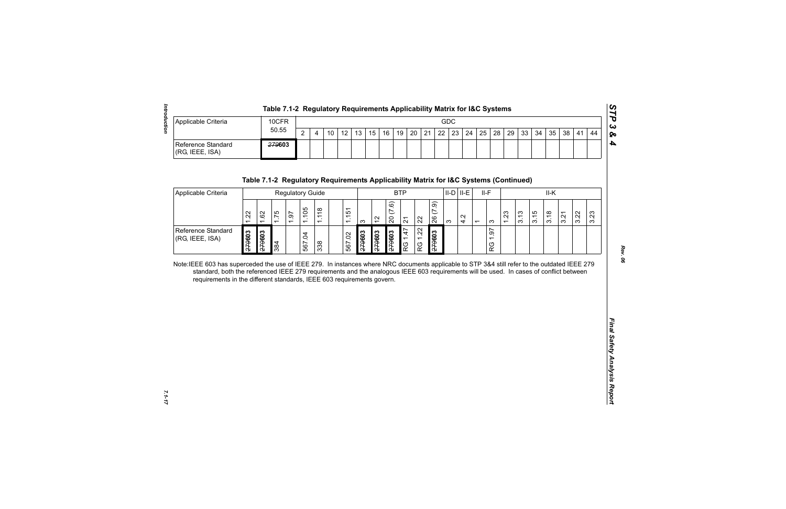|                                       | Table 7.1-2 Regulatory Requirements Applicability Matrix for I&C Systems |     |  |    |    |                 |  |  |  |  |  |  |  |  |  |  |  |                                                                               |  |    |     |
|---------------------------------------|--------------------------------------------------------------------------|-----|--|----|----|-----------------|--|--|--|--|--|--|--|--|--|--|--|-------------------------------------------------------------------------------|--|----|-----|
| Applicable Criteria                   | 10CFR<br>50.55                                                           | GDC |  |    |    |                 |  |  |  |  |  |  |  |  |  |  |  | ده ا                                                                          |  |    |     |
|                                       |                                                                          | ົ   |  | 10 | 12 | 13 <sub>1</sub> |  |  |  |  |  |  |  |  |  |  |  | 15   16   19   20   21   22   23   24   25   28   29   33   34   35   38   41 |  | 44 | ∣ ହ |
| Reference Standard<br>(RG, IEEE, ISA) | 279603                                                                   |     |  |    |    |                 |  |  |  |  |  |  |  |  |  |  |  |                                                                               |  |    |     |

| Applicable Criteria<br>Reference Standard<br>(RG, IEEE, ISA)           |        |        | 10CFR                                                                                |                         |                |                |                 |        |            |               |                          |                 |    |            |                    | GDC      |        |                          |            |      |      |      |      |      |      |      |
|------------------------------------------------------------------------|--------|--------|--------------------------------------------------------------------------------------|-------------------------|----------------|----------------|-----------------|--------|------------|---------------|--------------------------|-----------------|----|------------|--------------------|----------|--------|--------------------------|------------|------|------|------|------|------|------|------|
|                                                                        |        |        | 50.55                                                                                |                         | $\overline{2}$ | $\overline{4}$ | 10 <sup>°</sup> | 12     | 13         | 15            | 16                       | 19              | 20 | 21         | 22                 | 23       | 24     | 25                       | 28         | 29   | 33   | 34   | 35   | 38   | 41   | 44   |
|                                                                        |        |        | 279603                                                                               |                         |                |                |                 |        |            |               |                          |                 |    |            |                    |          |        |                          |            |      |      |      |      |      |      |      |
|                                                                        |        |        | Table 7.1-2 Regulatory Requirements Applicability Matrix for I&C Systems (Continued) |                         |                |                |                 |        |            |               |                          |                 |    |            |                    |          |        |                          |            |      |      |      |      |      |      |      |
| Applicable Criteria                                                    |        |        |                                                                                      | <b>Regulatory Guide</b> |                |                |                 |        | <b>BTP</b> |               |                          |                 |    |            | $II-D$ $II-E$      |          | $II-F$ |                          | II-K       |      |      |      |      |      |      |      |
|                                                                        | 1.22   | 1.62   | 1.75                                                                                 | 1.97                    | 1.105          | 1.118          |                 | 1.151  | $\infty$   | $\frac{2}{3}$ | (7.6)<br>$\overline{20}$ | $\overline{2}1$ |    | 22         | (7.9)<br>26        | $\infty$ | 4.2    | $\overline{\phantom{0}}$ | $\infty$   | 1.23 | 3.13 | 3.15 | 3.18 | 3.21 | 3.22 | 3.23 |
| Reference Standard<br>(RG, IEEE, ISA)                                  | 279603 | £79603 | 384                                                                                  |                         | 567.04         | 338            |                 | 567.02 | £79603     | 279603        | 279603                   | 1.47<br>RG      |    | 1.22<br>RG | £096ź <del>7</del> |          |        |                          | 1.97<br>RG |      |      |      |      |      |      |      |
| requirements in the different standards, IEEE 603 requirements govern. |        |        |                                                                                      |                         |                |                |                 |        |            |               |                          |                 |    |            |                    |          |        |                          |            |      |      |      |      |      |      |      |
|                                                                        |        |        |                                                                                      |                         |                |                |                 |        |            |               |                          |                 |    |            |                    |          |        |                          |            |      |      |      |      |      |      |      |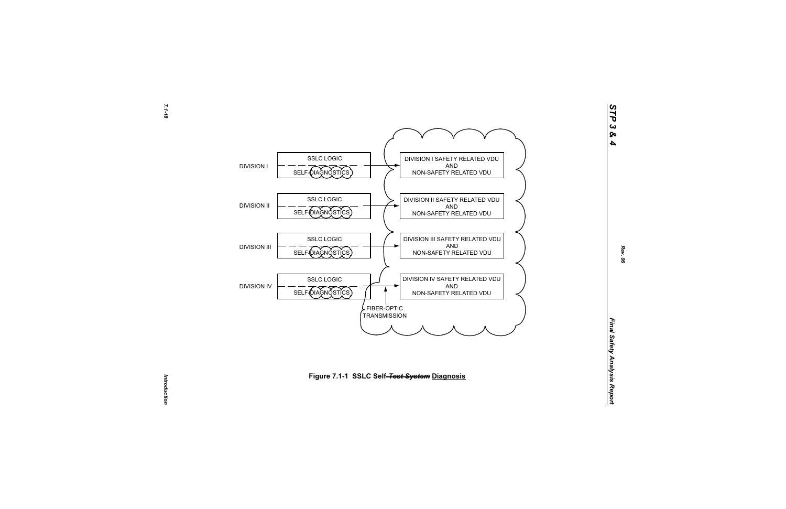